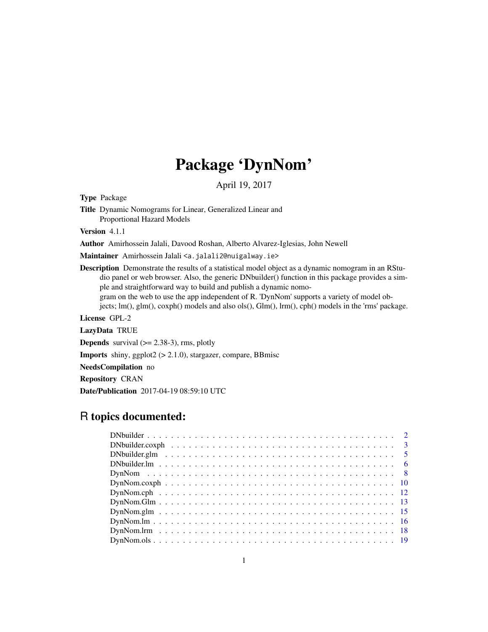# Package 'DynNom'

April 19, 2017

<span id="page-0-0"></span>Type Package

Title Dynamic Nomograms for Linear, Generalized Linear and Proportional Hazard Models

Version 4.1.1

Author Amirhossein Jalali, Davood Roshan, Alberto Alvarez-Iglesias, John Newell

Maintainer Amirhossein Jalali <a.jalali2@nuigalway.ie>

Description Demonstrate the results of a statistical model object as a dynamic nomogram in an RStudio panel or web browser. Also, the generic DNbuilder() function in this package provides a simple and straightforward way to build and publish a dynamic nomogram on the web to use the app independent of R. 'DynNom' supports a variety of model objects; lm(), glm(), coxph() models and also ols(), Glm(), lrm(), cph() models in the 'rms' package.

License GPL-2

LazyData TRUE

**Depends** survival  $(>= 2.38-3)$ , rms, plotly

Imports shiny, ggplot2 (> 2.1.0), stargazer, compare, BBmisc

NeedsCompilation no

Repository CRAN

Date/Publication 2017-04-19 08:59:10 UTC

# R topics documented:

| $DynNom.Glm \ldots \ldots \ldots \ldots \ldots \ldots \ldots \ldots \ldots \ldots \ldots \ldots \ldots 13$ |  |
|------------------------------------------------------------------------------------------------------------|--|
|                                                                                                            |  |
|                                                                                                            |  |
|                                                                                                            |  |
|                                                                                                            |  |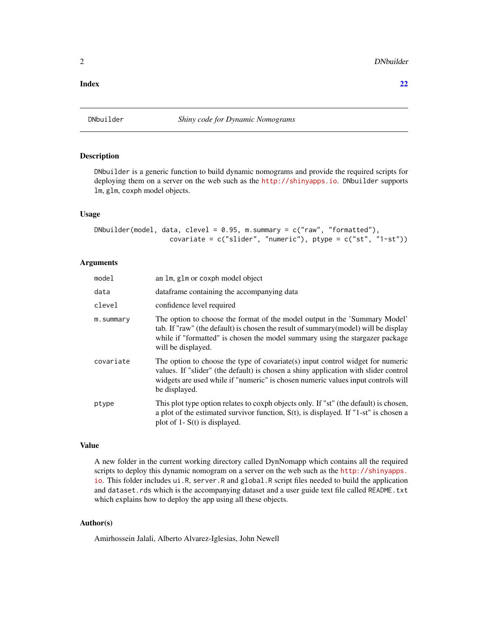#### <span id="page-1-0"></span>**Index** [22](#page-21-0)

# Description

DNbuilder is a generic function to build dynamic nomograms and provide the required scripts for deploying them on a server on the web such as the <http://shinyapps.io>. DNbuilder supports lm, glm, coxph model objects.

# Usage

```
DNbuilder(model, data, clevel = 0.95, m.summary = c("raw", "formatted"),
                  covariate = c("slider", "numeric"), ptype = c("st", "1-st"))
```
# Arguments

| model     | an 1m, g1m or coxph model object                                                                                                                                                                                                                                           |
|-----------|----------------------------------------------------------------------------------------------------------------------------------------------------------------------------------------------------------------------------------------------------------------------------|
| data      | dataframe containing the accompanying data                                                                                                                                                                                                                                 |
| clevel    | confidence level required                                                                                                                                                                                                                                                  |
| m.summary | The option to choose the format of the model output in the 'Summary Model'<br>tab. If "raw" (the default) is chosen the result of summary (model) will be display<br>while if "formatted" is chosen the model summary using the stargazer package<br>will be displayed.    |
| covariate | The option to choose the type of covariate(s) input control widget for numeric<br>values. If "slider" (the default) is chosen a shiny application with slider control<br>widgets are used while if "numeric" is chosen numeric values input controls will<br>be displayed. |
| ptype     | This plot type option relates to coxph objects only. If "st" (the default) is chosen,<br>a plot of the estimated survivor function, $S(t)$ , is displayed. If "1-st" is chosen a<br>plot of 1- $S(t)$ is displayed.                                                        |

# Value

A new folder in the current working directory called DynNomapp which contains all the required scripts to deploy this dynamic nomogram on a server on the web such as the [http://shinyapps.](http://shinyapps.io) [io](http://shinyapps.io). This folder includes ui.R, server.R and global.R script files needed to build the application and dataset.rds which is the accompanying dataset and a user guide text file called README.txt which explains how to deploy the app using all these objects.

# Author(s)

Amirhossein Jalali, Alberto Alvarez-Iglesias, John Newell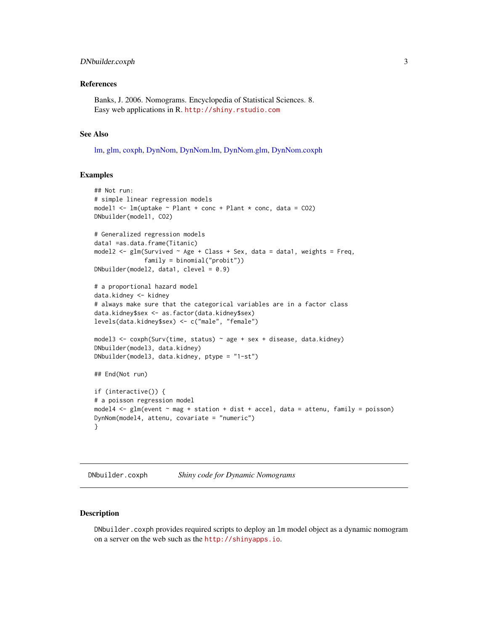# <span id="page-2-0"></span>DNbuilder.coxph 3

#### References

Banks, J. 2006. Nomograms. Encyclopedia of Statistical Sciences. 8. Easy web applications in R. <http://shiny.rstudio.com>

#### See Also

[lm,](#page-0-0) [glm,](#page-0-0) [coxph,](#page-0-0) [DynNom,](#page-7-1) [DynNom.lm,](#page-15-1) [DynNom.glm,](#page-14-1) [DynNom.coxph](#page-9-1)

# Examples

```
## Not run:
# simple linear regression models
model1 <- lm(uptake \sim Plant + conc + Plant * conc, data = CO2)
DNbuilder(model1, CO2)
# Generalized regression models
data1 =as.data.frame(Titanic)
model2 <- glm(Survived ~ Age ~ Llass ~ Sex, data = data1, weights = Freq,family = binomial("probit"))
DNbuilder(model2, data1, clevel = 0.9)
# a proportional hazard model
data.kidney <- kidney
# always make sure that the categorical variables are in a factor class
data.kidney$sex <- as.factor(data.kidney$sex)
levels(data.kidney$sex) <- c("male", "female")
model3 <- coxph(Surv(time, status) \sim age + sex + disease, data.kidney)
DNbuilder(model3, data.kidney)
DNbuilder(model3, data.kidney, ptype = "1-st")
## End(Not run)
if (interactive()) {
# a poisson regression model
model4 <- glm(event ~ mag + station + dist + accel, data = attenu, family = poisson)
DynNom(model4, attenu, covariate = "numeric")
}
```
DNbuilder.coxph *Shiny code for Dynamic Nomograms*

### Description

DNbuilder.coxph provides required scripts to deploy an lm model object as a dynamic nomogram on a server on the web such as the <http://shinyapps.io>.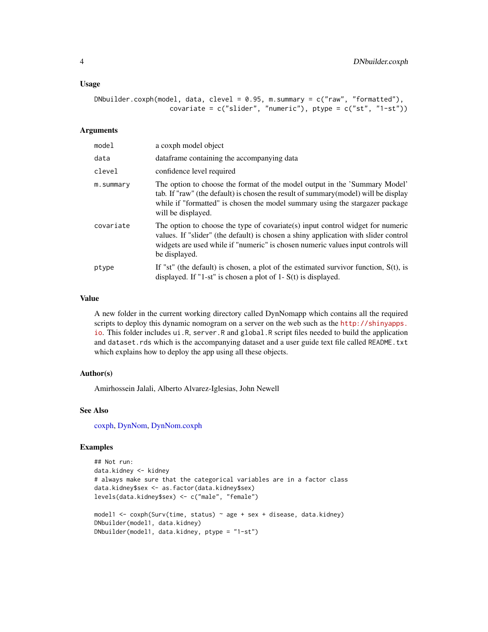#### <span id="page-3-0"></span>Usage

```
DNbuilder.coxph(model, data, clevel = 0.95, m.summary = c("raw", "formatted"),
                   covariate = c("slider", "numeric"), ptype = c("st", "1-st"))
```
#### Arguments

| model     | a coxph model object                                                                                                                                                                                                                                                       |
|-----------|----------------------------------------------------------------------------------------------------------------------------------------------------------------------------------------------------------------------------------------------------------------------------|
| data      | data frame containing the accompanying data                                                                                                                                                                                                                                |
| clevel    | confidence level required                                                                                                                                                                                                                                                  |
| m.summary | The option to choose the format of the model output in the 'Summary Model'<br>tab. If "raw" (the default) is chosen the result of summary (model) will be display<br>while if "formatted" is chosen the model summary using the stargazer package<br>will be displayed.    |
| covariate | The option to choose the type of covariate(s) input control widget for numeric<br>values. If "slider" (the default) is chosen a shiny application with slider control<br>widgets are used while if "numeric" is chosen numeric values input controls will<br>be displayed. |
| ptype     | If "st" (the default) is chosen, a plot of the estimated survivor function, $S(t)$ , is<br>displayed. If "1-st" is chosen a plot of $1 - S(t)$ is displayed.                                                                                                               |

#### Value

A new folder in the current working directory called DynNomapp which contains all the required scripts to deploy this dynamic nomogram on a server on the web such as the [http://shinyapps.](http://shinyapps.io) [io](http://shinyapps.io). This folder includes ui.R, server.R and global.R script files needed to build the application and dataset.rds which is the accompanying dataset and a user guide text file called README.txt which explains how to deploy the app using all these objects.

### Author(s)

Amirhossein Jalali, Alberto Alvarez-Iglesias, John Newell

#### See Also

[coxph,](#page-0-0) [DynNom,](#page-7-1) [DynNom.coxph](#page-9-1)

```
## Not run:
data.kidney <- kidney
# always make sure that the categorical variables are in a factor class
data.kidney$sex <- as.factor(data.kidney$sex)
levels(data.kidney$sex) <- c("male", "female")
model1 <- \text{cosh}(\text{Surv}(\text{time}, \text{status}) \sim \text{age} + \text{sex} + \text{disease}, \text{data.kidney})DNbuilder(model1, data.kidney)
DNbuilder(model1, data.kidney, ptype = "1-st")
```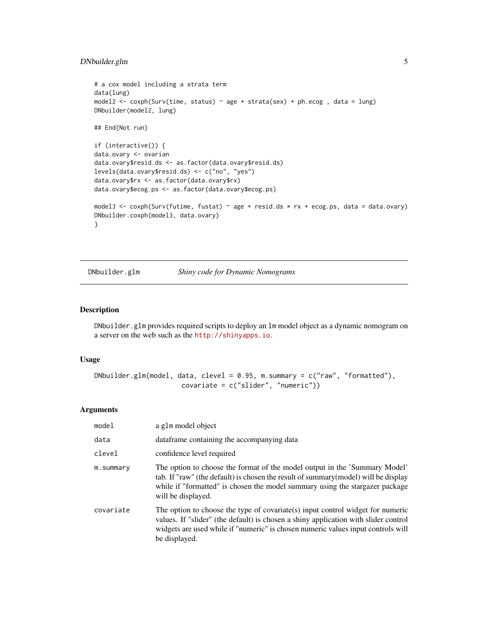```
# a cox model including a strata term
data(lung)
model2 <- coxph(Surv(time, status) ~ age + strata(sex) + ph.ecog , data = lung)
DNbuilder(model2, lung)
## End(Not run)
if (interactive()) {
data.ovary <- ovarian
data.ovary$resid.ds <- as.factor(data.ovary$resid.ds)
levels(data.ovary$resid.ds) <- c("no", "yes")
data.ovary$rx <- as.factor(data.ovary$rx)
data.ovary$ecog.ps <- as.factor(data.ovary$ecog.ps)
model3 <- coxph(Surv(futime, fustat) ~ age + resid.ds * rx + ecog.ps, data = data.ovary)
DNbuilder.coxph(model3, data.ovary)
}
```
DNbuilder.glm *Shiny code for Dynamic Nomograms*

#### Description

DNbuilder.glm provides required scripts to deploy an lm model object as a dynamic nomogram on a server on the web such as the <http://shinyapps.io>.

# Usage

```
DNbuilder.glm(model, data, clevel = 0.95, m.summary = c("raw", "formatted"),
                      covariate = c("slider", "numeric"))
```
# Arguments

| model     | a g1m model object                                                                                                                                                                                                                                                         |
|-----------|----------------------------------------------------------------------------------------------------------------------------------------------------------------------------------------------------------------------------------------------------------------------------|
| data      | data frame containing the accompanying data                                                                                                                                                                                                                                |
| clevel    | confidence level required                                                                                                                                                                                                                                                  |
| m.summary | The option to choose the format of the model output in the 'Summary Model'<br>tab. If "raw" (the default) is chosen the result of summary (model) will be display<br>while if "formatted" is chosen the model summary using the stargazer package<br>will be displayed.    |
| covariate | The option to choose the type of covariate(s) input control widget for numeric<br>values. If "slider" (the default) is chosen a shiny application with slider control<br>widgets are used while if "numeric" is chosen numeric values input controls will<br>be displayed. |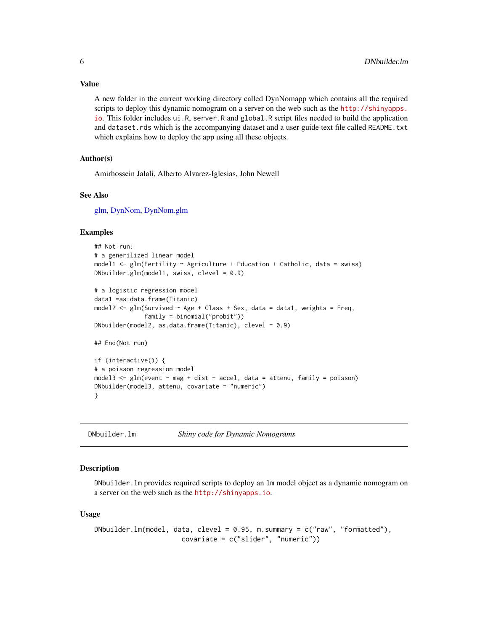<span id="page-5-0"></span>Value

A new folder in the current working directory called DynNomapp which contains all the required scripts to deploy this dynamic nomogram on a server on the web such as the [http://shinyapps.](http://shinyapps.io) [io](http://shinyapps.io). This folder includes ui.R, server.R and global.R script files needed to build the application and dataset.rds which is the accompanying dataset and a user guide text file called README.txt which explains how to deploy the app using all these objects.

#### Author(s)

Amirhossein Jalali, Alberto Alvarez-Iglesias, John Newell

#### See Also

[glm,](#page-0-0) [DynNom,](#page-7-1) [DynNom.glm](#page-14-1)

#### Examples

```
## Not run:
# a generilized linear model
model1 <- glm(Fertility ~ Agriculture + Education + Catholic, data = swiss)
DNbuilder.glm(model1, swiss, clevel = 0.9)
# a logistic regression model
data1 =as.data.frame(Titanic)
model2 <- glm(Survived ~ Age ~ Llass ~ Sex, data = data1, weights = Freq,family = binomial("probit"))
DNbuilder(model2, as.data.frame(Titanic), clevel = 0.9)
## End(Not run)
if (interactive()) {
# a poisson regression model
model3 <- glm(event ~ mag + dist + accel, data = attenu, family = poisson)
DNbuilder(model3, attenu, covariate = "numeric")
}
```
DNbuilder.lm *Shiny code for Dynamic Nomograms*

#### **Description**

DNbuilder.lm provides required scripts to deploy an lm model object as a dynamic nomogram on a server on the web such as the <http://shinyapps.io>.

#### Usage

```
DNbuilder.lm(model, data, clevel = 0.95, m.summary = c("raw", "formatted"),covariate = c("slider", "numeric"))
```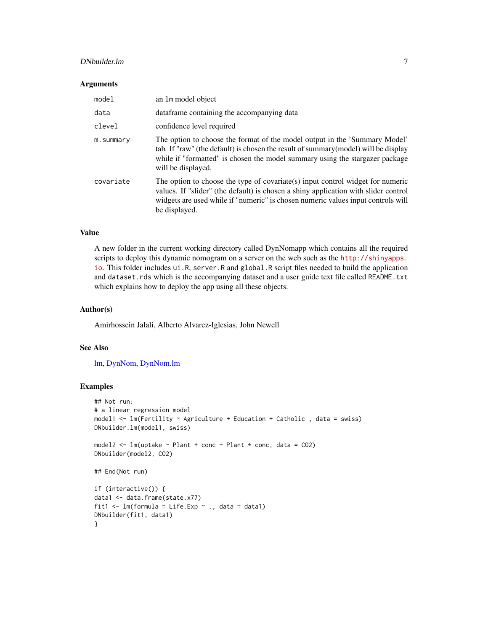# <span id="page-6-0"></span>DNbuilder.lm 7

#### **Arguments**

| model     | an 1m model object                                                                                                                                                                                                                                                         |
|-----------|----------------------------------------------------------------------------------------------------------------------------------------------------------------------------------------------------------------------------------------------------------------------------|
| data      | data frame containing the accompanying data                                                                                                                                                                                                                                |
| clevel    | confidence level required                                                                                                                                                                                                                                                  |
| m.summary | The option to choose the format of the model output in the 'Summary Model'<br>tab. If "raw" (the default) is chosen the result of summary (model) will be display<br>while if "formatted" is chosen the model summary using the stargazer package<br>will be displayed.    |
| covariate | The option to choose the type of covariate(s) input control widget for numeric<br>values. If "slider" (the default) is chosen a shiny application with slider control<br>widgets are used while if "numeric" is chosen numeric values input controls will<br>be displayed. |

# Value

A new folder in the current working directory called DynNomapp which contains all the required scripts to deploy this dynamic nomogram on a server on the web such as the [http://shinyapps.](http://shinyapps.io) [io](http://shinyapps.io). This folder includes ui.R, server.R and global.R script files needed to build the application and dataset.rds which is the accompanying dataset and a user guide text file called README.txt which explains how to deploy the app using all these objects.

#### Author(s)

Amirhossein Jalali, Alberto Alvarez-Iglesias, John Newell

# See Also

[lm,](#page-0-0) [DynNom,](#page-7-1) [DynNom.lm](#page-15-1)

```
## Not run:
# a linear regression model
model1 <- lm(Fertility ~ Agriculture + Education + Catholic , data = swiss)
DNbuilder.lm(model1, swiss)
model2 \leq lm(uptake \sim Plant + conc + Plant \star conc, data = CO2)
DNbuilder(model2, CO2)
## End(Not run)
if (interactive()) {
data1 <- data.frame(state.x77)
fit1 \leq lm(formula = Life.Exp \sim ., data = data1)
DNbuilder(fit1, data1)
}
```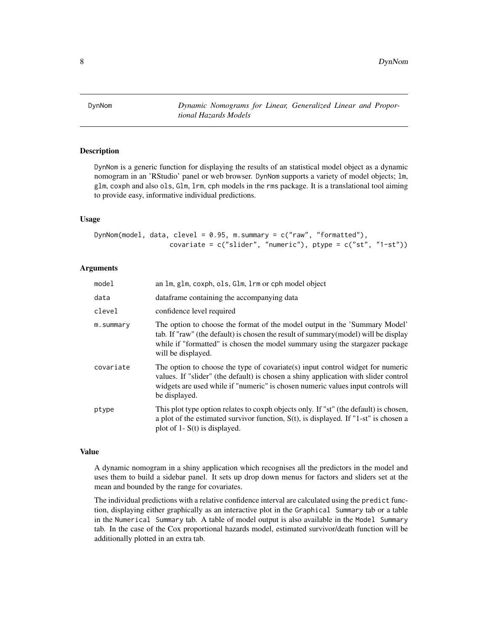<span id="page-7-1"></span><span id="page-7-0"></span>DynNom *Dynamic Nomograms for Linear, Generalized Linear and Proportional Hazards Models*

# Description

DynNom is a generic function for displaying the results of an statistical model object as a dynamic nomogram in an 'RStudio' panel or web browser. DynNom supports a variety of model objects; lm, glm, coxph and also ols, Glm, lrm, cph models in the rms package. It is a translational tool aiming to provide easy, informative individual predictions.

#### Usage

DynNom(model, data, clevel =  $0.95$ , m.summary =  $c("raw", "formatted"),$ covariate =  $c("slider", "numeric"), ptype =  $c("st", "1-st"))$$ 

# Arguments

| model     | an 1m, g1m, coxph, o1s, G1m, 1rm or cph model object                                                                                                                                                                                                                       |
|-----------|----------------------------------------------------------------------------------------------------------------------------------------------------------------------------------------------------------------------------------------------------------------------------|
| data      | data frame containing the accompanying data                                                                                                                                                                                                                                |
| clevel    | confidence level required                                                                                                                                                                                                                                                  |
| m.summary | The option to choose the format of the model output in the 'Summary Model'<br>tab. If "raw" (the default) is chosen the result of summary (model) will be display<br>while if "formatted" is chosen the model summary using the stargazer package<br>will be displayed.    |
| covariate | The option to choose the type of covariate(s) input control widget for numeric<br>values. If "slider" (the default) is chosen a shiny application with slider control<br>widgets are used while if "numeric" is chosen numeric values input controls will<br>be displayed. |
| ptype     | This plot type option relates to coxph objects only. If "st" (the default) is chosen,<br>a plot of the estimated survivor function, $S(t)$ , is displayed. If "1-st" is chosen a<br>plot of 1- $S(t)$ is displayed.                                                        |

# Value

A dynamic nomogram in a shiny application which recognises all the predictors in the model and uses them to build a sidebar panel. It sets up drop down menus for factors and sliders set at the mean and bounded by the range for covariates.

The individual predictions with a relative confidence interval are calculated using the predict function, displaying either graphically as an interactive plot in the Graphical Summary tab or a table in the Numerical Summary tab. A table of model output is also available in the Model Summary tab. In the case of the Cox proportional hazards model, estimated survivor/death function will be additionally plotted in an extra tab.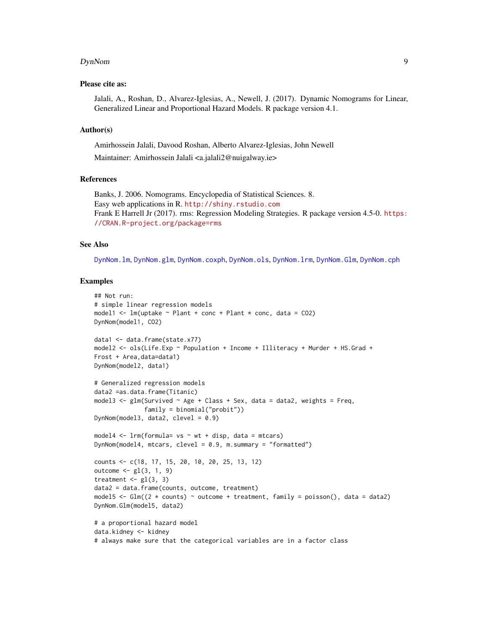#### <span id="page-8-0"></span>DynNom 9

#### Please cite as:

Jalali, A., Roshan, D., Alvarez-Iglesias, A., Newell, J. (2017). Dynamic Nomograms for Linear, Generalized Linear and Proportional Hazard Models. R package version 4.1.

#### Author(s)

Amirhossein Jalali, Davood Roshan, Alberto Alvarez-Iglesias, John Newell

Maintainer: Amirhossein Jalali <a.jalali2@nuigalway.ie>

#### References

Banks, J. 2006. Nomograms. Encyclopedia of Statistical Sciences. 8. Easy web applications in R. <http://shiny.rstudio.com> Frank E Harrell Jr (2017). rms: Regression Modeling Strategies. R package version 4.5-0. [https:](https://CRAN.R-project.org/package=rms) [//CRAN.R-project.org/package=rms](https://CRAN.R-project.org/package=rms)

#### See Also

[DynNom.lm](#page-15-1), [DynNom.glm](#page-14-1), [DynNom.coxph](#page-9-1), [DynNom.ols](#page-18-1), [DynNom.lrm](#page-17-1), [DynNom.Glm](#page-12-1), [DynNom.cph](#page-11-1)

```
## Not run:
# simple linear regression models
model1 <- lm(uptake \sim Plant + conc + Plant * conc, data = CO2)DynNom(model1, CO2)
data1 <- data.frame(state.x77)
model2 <- ols(Life.Exp ~ Population + Income + Illiteracy + Murder + HS.Grad +
Frost + Area,data=data1)
DynNom(model2, data1)
# Generalized regression models
data2 =as.data.frame(Titanic)
model3 <- glm(Survived \sim Age + Class + Sex, data = data2, weights = Freq,
              family = binomial("probit"))
DynNom(model3, data2, clevel = 0.9)
model4 \leq 1rm(formula= vs \sim wt + disp, data = mtcars)
DynNom(model4, mtcars, clevel = 0.9, m.summary = "formatted")
counts <- c(18, 17, 15, 20, 10, 20, 25, 13, 12)
outcome \leq gl(3, 1, 9)
treatment \leq gl(3, 3)
data2 = data.frame(counts, outcome, treatment)
model5 <- Glm((2 * counts) ~ ~ ~ outcome + treatment, family = poisson(), data = data2)DynNom.Glm(model5, data2)
# a proportional hazard model
data.kidney <- kidney
# always make sure that the categorical variables are in a factor class
```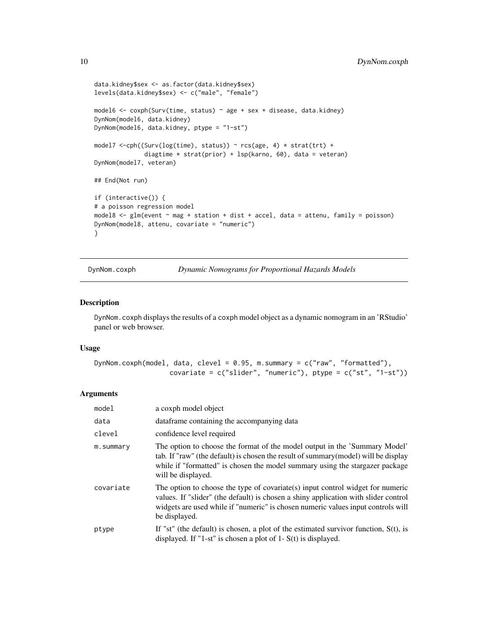```
data.kidney$sex <- as.factor(data.kidney$sex)
levels(data.kidney$sex) <- c("male", "female")
model6 <- coxph(Surv(time, status) \sim age + sex + disease, data.kidney)
DynNom(model6, data.kidney)
DynNom(model6, data.kidney, ptype = "1-st")
model7 <-cph((Surv(log(time), status)) ~ rcs(age, 4) * strat(trt) +diagtime * strat(prior) + lsp(karno, 60), data = veteran)
DynNom(model7, veteran)
## End(Not run)
if (interactive()) {
# a poisson regression model
model8 <- glm(event ~ mag + station + dist + accel, data = attenu, family = poisson)
DynNom(model8, attenu, covariate = "numeric")
}
```
DynNom.coxph *Dynamic Nomograms for Proportional Hazards Models*

#### Description

DynNom.coxph displays the results of a coxph model object as a dynamic nomogram in an 'RStudio' panel or web browser.

#### Usage

```
DynNom.coxph(model, data, clevel = 0.95, m.summary = c("raw", "formatted"),
                   covariate = c("slicher", "numeric"), ptype = <math>c("st", "1-st"))
```
#### Arguments

| model     | a coxph model object                                                                                                                                                                                                                                                       |
|-----------|----------------------------------------------------------------------------------------------------------------------------------------------------------------------------------------------------------------------------------------------------------------------------|
| data      | data frame containing the accompanying data                                                                                                                                                                                                                                |
| clevel    | confidence level required                                                                                                                                                                                                                                                  |
| m.summary | The option to choose the format of the model output in the 'Summary Model'<br>tab. If "raw" (the default) is chosen the result of summary (model) will be display<br>while if "formatted" is chosen the model summary using the stargazer package<br>will be displayed.    |
| covariate | The option to choose the type of covariate(s) input control widget for numeric<br>values. If "slider" (the default) is chosen a shiny application with slider control<br>widgets are used while if "numeric" is chosen numeric values input controls will<br>be displayed. |
| ptype     | If "st" (the default) is chosen, a plot of the estimated survivor function, $S(t)$ , is<br>displayed. If "1-st" is chosen a plot of $1 - S(t)$ is displayed.                                                                                                               |

<span id="page-9-0"></span>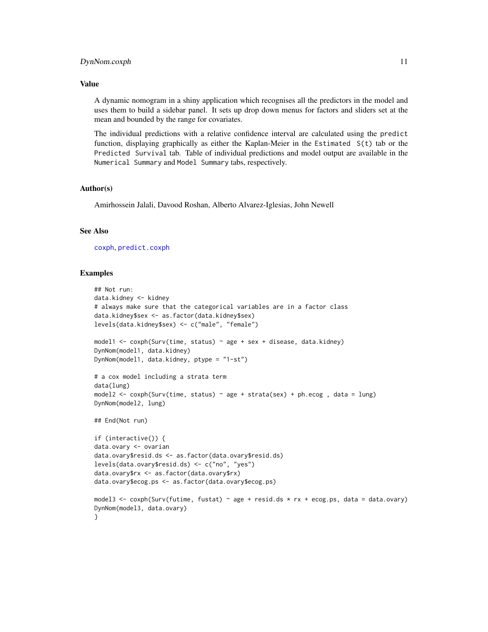#### <span id="page-10-0"></span>Value

A dynamic nomogram in a shiny application which recognises all the predictors in the model and uses them to build a sidebar panel. It sets up drop down menus for factors and sliders set at the mean and bounded by the range for covariates.

The individual predictions with a relative confidence interval are calculated using the predict function, displaying graphically as either the Kaplan-Meier in the Estimated S(t) tab or the Predicted Survival tab. Table of individual predictions and model output are available in the Numerical Summary and Model Summary tabs, respectively.

#### Author(s)

Amirhossein Jalali, Davood Roshan, Alberto Alvarez-Iglesias, John Newell

### See Also

[coxph](#page-0-0), [predict.coxph](#page-0-0)

```
## Not run:
data.kidney <- kidney
# always make sure that the categorical variables are in a factor class
data.kidney$sex <- as.factor(data.kidney$sex)
levels(data.kidney$sex) <- c("male", "female")
model1 <- coxph(Surv(time, status) ~ age + sex + disease, data.kidney)
DynNom(model1, data.kidney)
DynNom(model1, data.kidney, ptype = "1-st")
# a cox model including a strata term
data(lung)
model2 <- coxph(Surv(time, status) ~ age + strata(sex) + ph.ecog , data = lung)
DynNom(model2, lung)
## End(Not run)
if (interactive()) {
data.ovary <- ovarian
data.ovary$resid.ds <- as.factor(data.ovary$resid.ds)
levels(data.ovary$resid.ds) <- c("no", "yes")
data.ovary$rx <- as.factor(data.ovary$rx)
data.ovary$ecog.ps <- as.factor(data.ovary$ecog.ps)
model3 <- coxph(Surv(futime, fustat) ~ age + resid.ds * rx + ecog.ps, data = data.ovary)
DynNom(model3, data.ovary)
}
```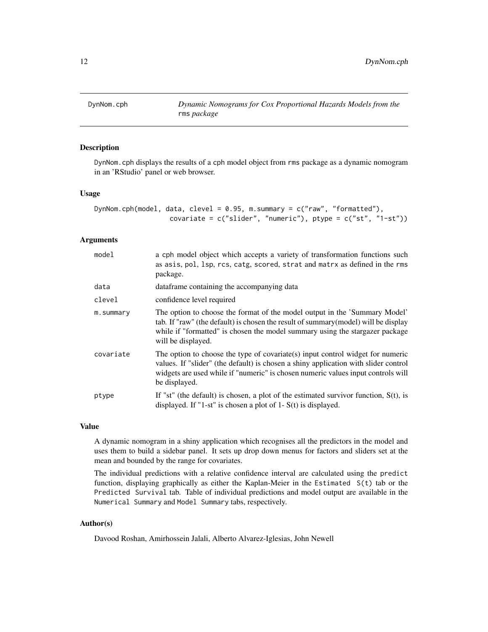<span id="page-11-1"></span><span id="page-11-0"></span>

#### Description

DynNom.cph displays the results of a cph model object from rms package as a dynamic nomogram in an 'RStudio' panel or web browser.

# Usage

```
DynNom.cph(model, data, clevel = 0.95, m.summary = c("raw", "formatted"),covariate = c("slicher", "numeric"), ptype = <math>c("st", "1-st"))
```
### Arguments

| model     | a cph model object which accepts a variety of transformation functions such<br>as asis, pol, lsp, rcs, catg, scored, strat and matrx as defined in the rms<br>package.                                                                                                     |
|-----------|----------------------------------------------------------------------------------------------------------------------------------------------------------------------------------------------------------------------------------------------------------------------------|
| data      | data frame containing the accompanying data                                                                                                                                                                                                                                |
| clevel    | confidence level required                                                                                                                                                                                                                                                  |
| m.summary | The option to choose the format of the model output in the 'Summary Model'<br>tab. If "raw" (the default) is chosen the result of summary (model) will be display<br>while if "formatted" is chosen the model summary using the stargazer package<br>will be displayed.    |
| covariate | The option to choose the type of covariate(s) input control widget for numeric<br>values. If "slider" (the default) is chosen a shiny application with slider control<br>widgets are used while if "numeric" is chosen numeric values input controls will<br>be displayed. |
| ptype     | If "st" (the default) is chosen, a plot of the estimated survivor function, $S(t)$ , is<br>displayed. If "1-st" is chosen a plot of $1 - S(t)$ is displayed.                                                                                                               |

# Value

A dynamic nomogram in a shiny application which recognises all the predictors in the model and uses them to build a sidebar panel. It sets up drop down menus for factors and sliders set at the mean and bounded by the range for covariates.

The individual predictions with a relative confidence interval are calculated using the predict function, displaying graphically as either the Kaplan-Meier in the Estimated S(t) tab or the Predicted Survival tab. Table of individual predictions and model output are available in the Numerical Summary and Model Summary tabs, respectively.

#### Author(s)

Davood Roshan, Amirhossein Jalali, Alberto Alvarez-Iglesias, John Newell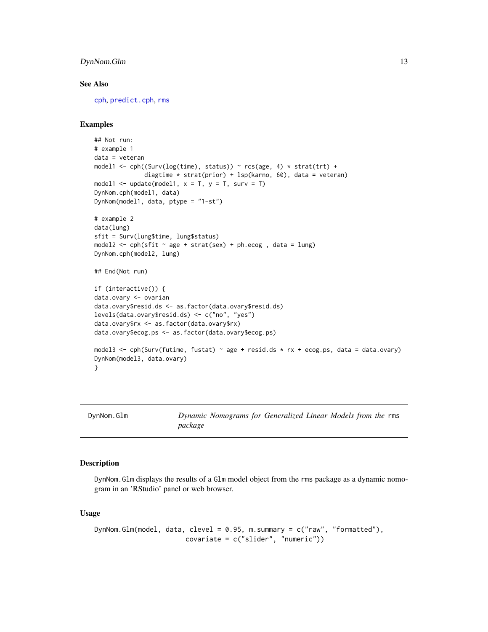# <span id="page-12-0"></span>DynNom.Glm 13

#### See Also

[cph](#page-0-0), [predict.cph](#page-0-0), [rms](#page-0-0)

#### Examples

```
## Not run:
# example 1
data = veteran
model1 <- cph((Surv(log(time), status)) ~ rcs(age, 4) * strat(trt) +diagtime * strat(prior) + lsp(karno, 60), data = veteran)
model1 <- update(model1, x = T, y = T, surv = T)
DynNom.cph(model1, data)
DynNom(model1, data, ptype = "1-st")
# example 2
data(lung)
sfit = Surv(lung$time, lung$status)
model2 <- cph(sfit \sim age + strat(sex) + ph.ecog, data = lung)
DynNom.cph(model2, lung)
## End(Not run)
if (interactive()) {
data.ovary <- ovarian
data.ovary$resid.ds <- as.factor(data.ovary$resid.ds)
levels(data.ovary$resid.ds) <- c("no", "yes")
data.ovary$rx <- as.factor(data.ovary$rx)
data.ovary$ecog.ps <- as.factor(data.ovary$ecog.ps)
model3 \le cph(Surv(futime, fustat) \sim age + resid.ds \star rx + ecog.ps, data = data.ovary)
DynNom(model3, data.ovary)
}
```
<span id="page-12-1"></span>

DynNom.Glm *Dynamic Nomograms for Generalized Linear Models from the* rms *package*

### **Description**

DynNom.Glm displays the results of a Glm model object from the rms package as a dynamic nomogram in an 'RStudio' panel or web browser.

#### Usage

```
DynNom.Glm(model, data, clevel = 0.95, m.summary = c("raw", "formatted"),covariate = c("slider", "numeric"))
```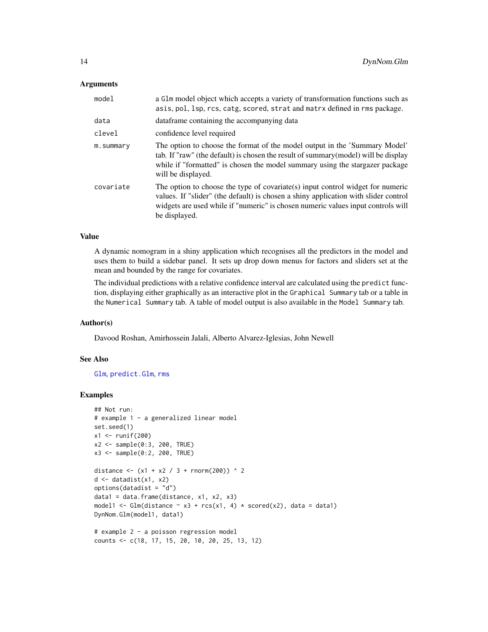#### <span id="page-13-0"></span>Arguments

| model     | a G1m model object which accepts a variety of transformation functions such as<br>asis, pol, lsp, rcs, catg, scored, strat and matrx defined in rms package.                                                                                                               |
|-----------|----------------------------------------------------------------------------------------------------------------------------------------------------------------------------------------------------------------------------------------------------------------------------|
| data      | dataframe containing the accompanying data                                                                                                                                                                                                                                 |
| clevel    | confidence level required                                                                                                                                                                                                                                                  |
| m.summary | The option to choose the format of the model output in the 'Summary Model'<br>tab. If "raw" (the default) is chosen the result of summary (model) will be display<br>while if "formatted" is chosen the model summary using the stargazer package<br>will be displayed.    |
| covariate | The option to choose the type of covariate(s) input control widget for numeric<br>values. If "slider" (the default) is chosen a shiny application with slider control<br>widgets are used while if "numeric" is chosen numeric values input controls will<br>be displayed. |

# Value

A dynamic nomogram in a shiny application which recognises all the predictors in the model and uses them to build a sidebar panel. It sets up drop down menus for factors and sliders set at the mean and bounded by the range for covariates.

The individual predictions with a relative confidence interval are calculated using the predict function, displaying either graphically as an interactive plot in the Graphical Summary tab or a table in the Numerical Summary tab. A table of model output is also available in the Model Summary tab.

#### Author(s)

Davood Roshan, Amirhossein Jalali, Alberto Alvarez-Iglesias, John Newell

# See Also

[Glm](#page-0-0), [predict.Glm](#page-0-0), [rms](#page-0-0)

```
## Not run:
# example 1 - a generalized linear model
set.seed(1)
x1 <- runif(200)
x2 \leq - sample(0:3, 200, TRUE)
x3 \leq - sample(0:2, 200, TRUE)
distance <- (x1 + x2 / 3 + rnorm(200)) ^ 2d \leftarrow datadist(x1, x2)options(datadist = "d")
data1 = data.frame(distance, x1, x2, x3)
model1 <- Glm(distance \sim x3 + rcs(x1, 4) * scored(x2), data = data1)DynNom.Glm(model1, data1)
# example 2 - a poisson regression model
counts <- c(18, 17, 15, 20, 10, 20, 25, 13, 12)
```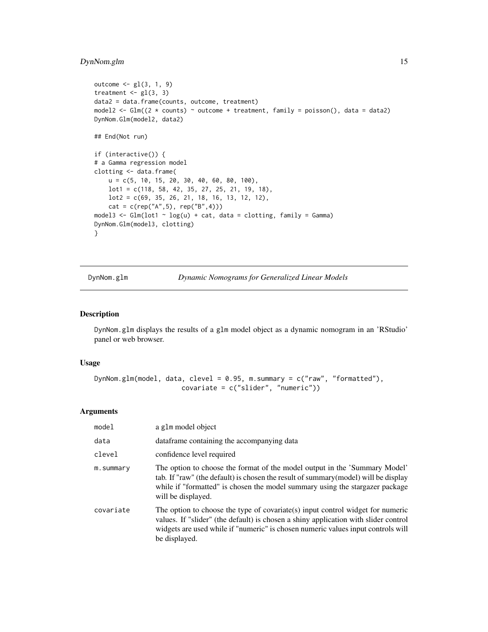# <span id="page-14-0"></span>DynNom.glm 15

```
outcome \leq gl(3, 1, 9)
treatment \leq gl(3, 3)
data2 = data.frame(counts, outcome, treatment)
model2 <- Glm((2 * counts) \sim outcome + treatment, family = poisson(), data = data2)
DynNom.Glm(model2, data2)
## End(Not run)
if (interactive()) {
# a Gamma regression model
clotting <- data.frame(
   u = c(5, 10, 15, 20, 30, 40, 60, 80, 100),
   lot1 = c(118, 58, 42, 35, 27, 25, 21, 19, 18),
   lot2 = c(69, 35, 26, 21, 18, 16, 13, 12, 12),
    cat = c(rep("A", 5), rep("B", 4)))model3 <- Glm(lot1 \sim log(u) + cat, data = clotting, family = Gamma)
DynNom.Glm(model3, clotting)
}
```
<span id="page-14-1"></span>DynNom.glm *Dynamic Nomograms for Generalized Linear Models*

#### Description

DynNom.glm displays the results of a glm model object as a dynamic nomogram in an 'RStudio' panel or web browser.

#### Usage

```
DynNom.glm(model, data, clevel = 0.95, m.summary = c("raw", "formatted"),
                      covariate = c("slider", "numeric"))
```
#### Arguments

| model     | a g1m model object                                                                                                                                                                                                                                                         |
|-----------|----------------------------------------------------------------------------------------------------------------------------------------------------------------------------------------------------------------------------------------------------------------------------|
| data      | dataframe containing the accompanying data                                                                                                                                                                                                                                 |
| clevel    | confidence level required                                                                                                                                                                                                                                                  |
| m.summary | The option to choose the format of the model output in the 'Summary Model'<br>tab. If "raw" (the default) is chosen the result of summary (model) will be display<br>while if "formatted" is chosen the model summary using the stargazer package<br>will be displayed.    |
| covariate | The option to choose the type of covariate(s) input control widget for numeric<br>values. If "slider" (the default) is chosen a shiny application with slider control<br>widgets are used while if "numeric" is chosen numeric values input controls will<br>be displayed. |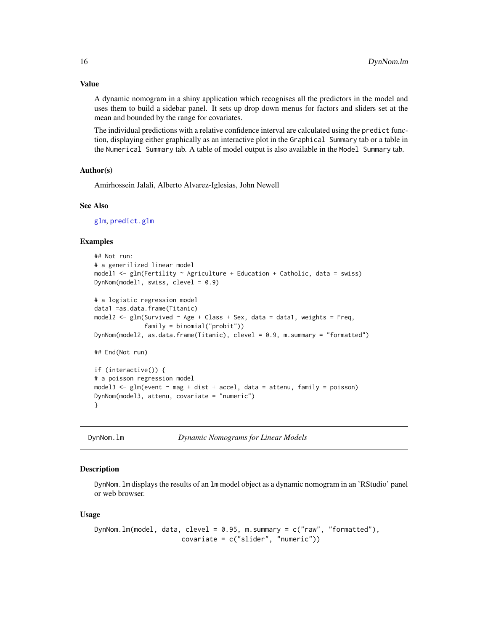A dynamic nomogram in a shiny application which recognises all the predictors in the model and uses them to build a sidebar panel. It sets up drop down menus for factors and sliders set at the mean and bounded by the range for covariates.

The individual predictions with a relative confidence interval are calculated using the predict function, displaying either graphically as an interactive plot in the Graphical Summary tab or a table in the Numerical Summary tab. A table of model output is also available in the Model Summary tab.

#### Author(s)

Amirhossein Jalali, Alberto Alvarez-Iglesias, John Newell

#### See Also

[glm](#page-0-0), [predict.glm](#page-0-0)

#### Examples

```
## Not run:
# a generilized linear model
model1 <- glm(Fertility ~ Agriculture ~t Education ~tCatholic, data = swiss)DynNom(model1, swiss, clevel = 0.9)
# a logistic regression model
data1 =as.data.frame(Titanic)
model2 <- glm(Survived ~ Age + Class + Sex, data = data1, weights = Freq,family = binomial("probit"))
DynNom(model2, as.data.frame(Titanic), clevel = 0.9, m.summary = "formatted")
## End(Not run)
if (interactive()) {
# a poisson regression model
model3 <- glm(event \sim mag + dist + accel, data = attempt, family = poisson)DynNom(model3, attenu, covariate = "numeric")
}
```
<span id="page-15-1"></span>DynNom.lm *Dynamic Nomograms for Linear Models*

#### Description

DynNom.lm displays the results of an lm model object as a dynamic nomogram in an 'RStudio' panel or web browser.

#### Usage

```
DynNom.lm(model, data, clevel = 0.95, m.summary = c("raw", "formatted"),
                     covariate = c("slider", "numeric"))
```
# <span id="page-15-0"></span>Value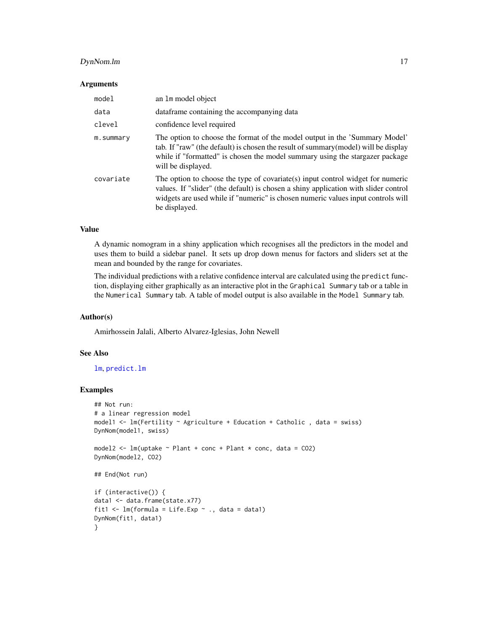# <span id="page-16-0"></span>DynNom.lm 17

#### **Arguments**

| model     | an 1m model object                                                                                                                                                                                                                                                            |
|-----------|-------------------------------------------------------------------------------------------------------------------------------------------------------------------------------------------------------------------------------------------------------------------------------|
| data      | data frame containing the accompanying data                                                                                                                                                                                                                                   |
| clevel    | confidence level required                                                                                                                                                                                                                                                     |
| m.summary | The option to choose the format of the model output in the 'Summary Model'<br>tab. If "raw" (the default) is chosen the result of summary (model) will be display<br>while if "formatted" is chosen the model summary using the stargazer package<br>will be displayed.       |
| covariate | The option to choose the type of covariate $(s)$ input control widget for numeric<br>values. If "slider" (the default) is chosen a shiny application with slider control<br>widgets are used while if "numeric" is chosen numeric values input controls will<br>be displayed. |

#### Value

A dynamic nomogram in a shiny application which recognises all the predictors in the model and uses them to build a sidebar panel. It sets up drop down menus for factors and sliders set at the mean and bounded by the range for covariates.

The individual predictions with a relative confidence interval are calculated using the predict function, displaying either graphically as an interactive plot in the Graphical Summary tab or a table in the Numerical Summary tab. A table of model output is also available in the Model Summary tab.

#### Author(s)

Amirhossein Jalali, Alberto Alvarez-Iglesias, John Newell

### See Also

# [lm](#page-0-0), [predict.lm](#page-0-0)

```
## Not run:
# a linear regression model
model1 <- lm(Fertility ~ Agriculture + Education + Catholic , data = swiss)
DynNom(model1, swiss)
model2 \leq lm(uptake \sim Plant + conc + Plant \star conc, data = CO2)
DynNom(model2, CO2)
## End(Not run)
if (interactive()) {
data1 <- data.frame(state.x77)
fit1 \leq lm(formula = Life.Exp \sim ., data = data1)
DynNom(fit1, data1)
}
```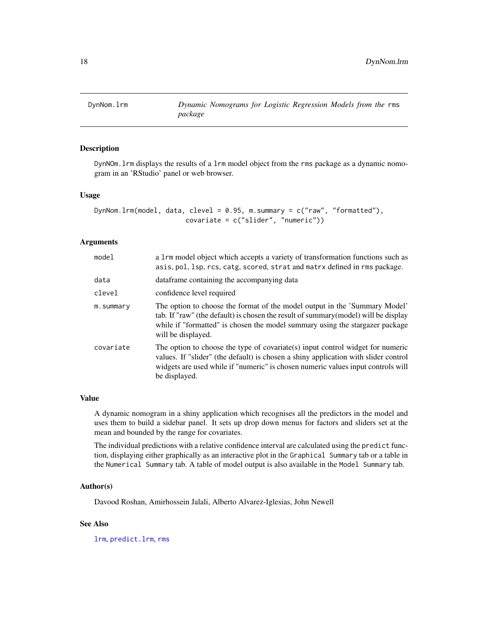<span id="page-17-1"></span><span id="page-17-0"></span>

# Description

DynNOm.lrm displays the results of a lrm model object from the rms package as a dynamic nomogram in an 'RStudio' panel or web browser.

### Usage

```
DynNom.lrm(model, data, clevel = 0.95, m.summary = c("raw", "formatted"),
                       covariate = c("slider", "numeric"))
```
# Arguments

| model     | a 1rm model object which accepts a variety of transformation functions such as<br>asis, pol, 1sp, rcs, catg, scored, strat and matrx defined in rms package.                                                                                                                  |
|-----------|-------------------------------------------------------------------------------------------------------------------------------------------------------------------------------------------------------------------------------------------------------------------------------|
| data      | data frame containing the accompanying data                                                                                                                                                                                                                                   |
| clevel    | confidence level required                                                                                                                                                                                                                                                     |
| m.summary | The option to choose the format of the model output in the 'Summary Model'<br>tab. If "raw" (the default) is chosen the result of summary (model) will be display<br>while if "formatted" is chosen the model summary using the stargazer package<br>will be displayed.       |
| covariate | The option to choose the type of covariate $(s)$ input control widget for numeric<br>values. If "slider" (the default) is chosen a shiny application with slider control<br>widgets are used while if "numeric" is chosen numeric values input controls will<br>be displayed. |

#### Value

A dynamic nomogram in a shiny application which recognises all the predictors in the model and uses them to build a sidebar panel. It sets up drop down menus for factors and sliders set at the mean and bounded by the range for covariates.

The individual predictions with a relative confidence interval are calculated using the predict function, displaying either graphically as an interactive plot in the Graphical Summary tab or a table in the Numerical Summary tab. A table of model output is also available in the Model Summary tab.

#### Author(s)

Davood Roshan, Amirhossein Jalali, Alberto Alvarez-Iglesias, John Newell

# See Also

[lrm](#page-0-0), [predict.lrm](#page-0-0), [rms](#page-0-0)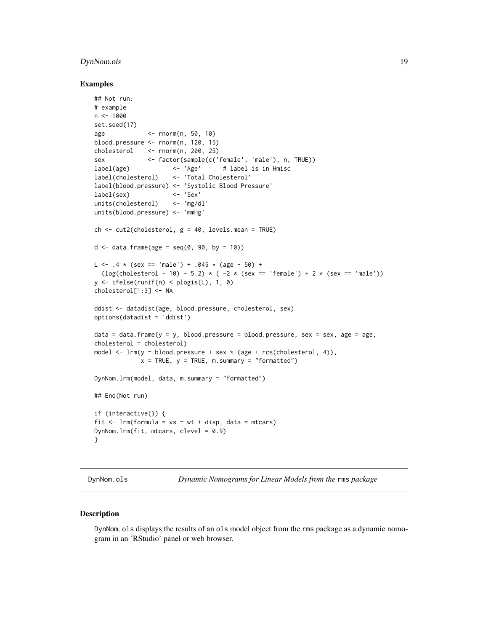# <span id="page-18-0"></span>DynNom.ols 19

#### Examples

```
## Not run:
# example
n < -1000set.seed(17)
age <- rnorm(n, 50, 10)
blood.pressure <- rnorm(n, 120, 15)
cholesterol <- rnorm(n, 200, 25)
sex <- factor(sample(c('female', 'male'), n, TRUE))
label(age) <- 'Age' # label is in Hmisc
label(cholesterol) <- 'Total Cholesterol'
label(blood.pressure) <- 'Systolic Blood Pressure'
label(sex) <- 'Sex'
units(cholesterol) <- 'mg/dl'
units(blood.pressure) <- 'mmHg'
ch \le cut2(cholesterol, g = 40, levels.mean = TRUE)
d \le - data.frame(age = seq(0, 90, by = 10))
L \le - .4 \times (sex == 'male') + .045 \times (age - 50) +(log(cholesterol - 10) - 5.2) * ( -2 * (sex == 'female') + 2 * (sex == 'male'))
y <- ifelse(runif(n) < plogis(L), 1, 0)
cholesterol[1:3] <- NA
ddist <- datadist(age, blood.pressure, cholesterol, sex)
options(datadist = 'ddist')
data = data.frame(y = y, blood.pressure = blood.pressure, sex = sex, age = age,
cholesterol = cholesterol)
model \leq lrm(y \sim blood.pressure + sex \star (age + rcs(cholesterol, 4)),
            x = TRUE, y = TRUE, m.summary = "formatted")
DynNom.lrm(model, data, m.summary = "formatted")
## End(Not run)
if (interactive()) {
fit \leq 1rm(formula = vs \sim wt + disp, data = mtcars)
DynNom.lrm(fit, mtcars, clevel = 0.9)
}
```
<span id="page-18-1"></span>

DynNom.ols *Dynamic Nomograms for Linear Models from the* rms *package*

#### Description

DynNom.ols displays the results of an ols model object from the rms package as a dynamic nomogram in an 'RStudio' panel or web browser.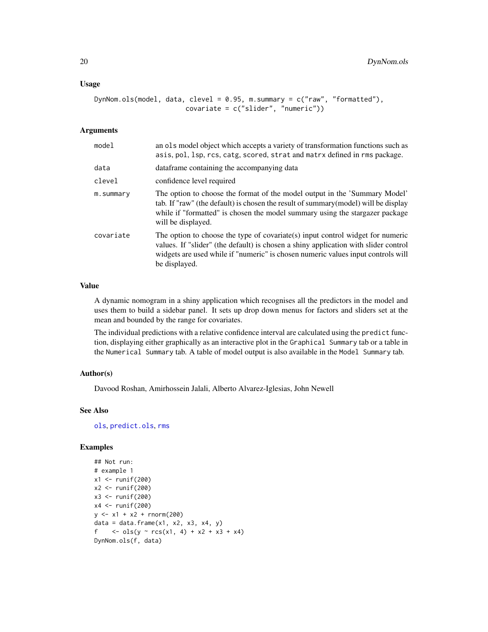#### <span id="page-19-0"></span>Usage

```
DynNom.ols(model, data, clevel = 0.95, m.summary = c("raw", "formatted"),covariate = c("slider", "numeric"))
```
#### Arguments

| model     | an ols model object which accepts a variety of transformation functions such as<br>asis, pol, lsp, rcs, catg, scored, strat and matrx defined in rms package.                                                                                                              |
|-----------|----------------------------------------------------------------------------------------------------------------------------------------------------------------------------------------------------------------------------------------------------------------------------|
| data      | data frame containing the accompanying data                                                                                                                                                                                                                                |
| clevel    | confidence level required                                                                                                                                                                                                                                                  |
| m.summary | The option to choose the format of the model output in the 'Summary Model'<br>tab. If "raw" (the default) is chosen the result of summary (model) will be display<br>while if "formatted" is chosen the model summary using the stargazer package<br>will be displayed.    |
| covariate | The option to choose the type of covariate(s) input control widget for numeric<br>values. If "slider" (the default) is chosen a shiny application with slider control<br>widgets are used while if "numeric" is chosen numeric values input controls will<br>be displayed. |

# Value

A dynamic nomogram in a shiny application which recognises all the predictors in the model and uses them to build a sidebar panel. It sets up drop down menus for factors and sliders set at the mean and bounded by the range for covariates.

The individual predictions with a relative confidence interval are calculated using the predict function, displaying either graphically as an interactive plot in the Graphical Summary tab or a table in the Numerical Summary tab. A table of model output is also available in the Model Summary tab.

#### Author(s)

Davood Roshan, Amirhossein Jalali, Alberto Alvarez-Iglesias, John Newell

#### See Also

[ols](#page-0-0), [predict.ols](#page-0-0), [rms](#page-0-0)

```
## Not run:
# example 1
x1 <- runif(200)
x2 <- runif(200)
x3 <- runif(200)
x4 \leftarrow runif(200)y \le -x1 + x2 + \text{rnorm}(200)data = data.frame(x1, x2, x3, x4, y)f <- ols(y ~ rcs(x1, 4) + x2 + x3 + x4)
DynNom.ols(f, data)
```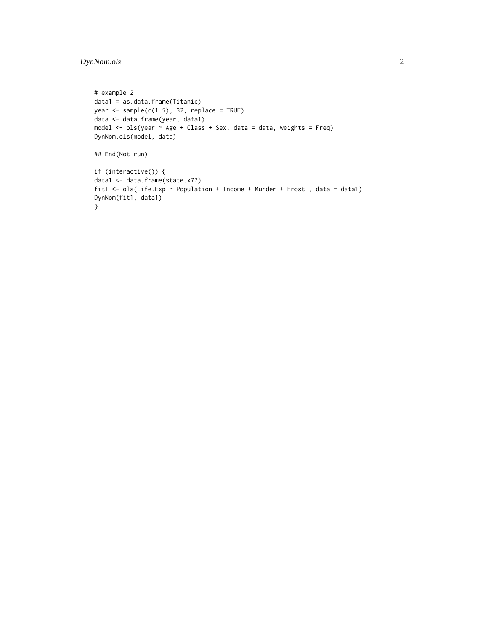# DynNom.ols 21

```
# example 2
data1 = as.data.frame(Titanic)
year \leq sample(c(1:5), 32, replace = TRUE)
data <- data.frame(year, data1)
model <- ols(year ~ Age + Class + Sex, data = data, weights = Freq)
DynNom.ols(model, data)
## End(Not run)
if (interactive()) {
data1 <- data.frame(state.x77)
fit1 <- ols(Life.Exp ~ Population + Income + Murder + Frost , data = data1)
DynNom(fit1, data1)
}
```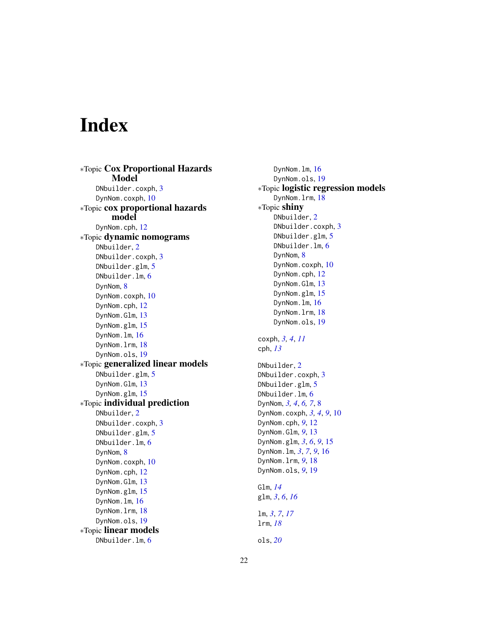# <span id="page-21-0"></span>Index

∗Topic Cox Proportional Hazards Model DNbuilder.coxph, [3](#page-2-0) DynNom.coxph, [10](#page-9-0) ∗Topic cox proportional hazards model DynNom.cph, [12](#page-11-0) ∗Topic dynamic nomograms DNbuilder, [2](#page-1-0) DNbuilder.coxph, [3](#page-2-0) DNbuilder.glm, [5](#page-4-0) DNbuilder.lm, [6](#page-5-0) DynNom, [8](#page-7-0) DynNom.coxph, [10](#page-9-0) DynNom.cph, [12](#page-11-0) DynNom.Glm, [13](#page-12-0) DynNom.glm, [15](#page-14-0) DynNom.lm, [16](#page-15-0) DynNom.lrm, [18](#page-17-0) DynNom.ols, [19](#page-18-0) ∗Topic generalized linear models DNbuilder.glm, [5](#page-4-0) DynNom.Glm, [13](#page-12-0) DynNom.glm, [15](#page-14-0) ∗Topic individual prediction DNbuilder, [2](#page-1-0) DNbuilder.coxph, [3](#page-2-0) DNbuilder.glm, [5](#page-4-0) DNbuilder.lm, [6](#page-5-0) DynNom, [8](#page-7-0) DynNom.coxph, [10](#page-9-0) DynNom.cph, [12](#page-11-0) DynNom.Glm, [13](#page-12-0) DynNom.glm, [15](#page-14-0) DynNom.lm, [16](#page-15-0) DynNom.lrm, [18](#page-17-0) DynNom.ols, [19](#page-18-0) ∗Topic linear models DNbuilder.lm, [6](#page-5-0)

DynNom.lm, [16](#page-15-0) DynNom.ols, [19](#page-18-0) ∗Topic logistic regression models DynNom.lrm, [18](#page-17-0) ∗Topic shiny DNbuilder, [2](#page-1-0) DNbuilder.coxph, [3](#page-2-0) DNbuilder.glm, [5](#page-4-0) DNbuilder.lm, [6](#page-5-0) DynNom, [8](#page-7-0) DynNom.coxph, [10](#page-9-0) DynNom.cph, [12](#page-11-0) DynNom.Glm, [13](#page-12-0) DynNom.glm, [15](#page-14-0) DynNom.lm, [16](#page-15-0) DynNom.lrm, [18](#page-17-0) DynNom.ols, [19](#page-18-0) coxph, *[3,](#page-2-0) [4](#page-3-0)*, *[11](#page-10-0)* cph, *[13](#page-12-0)* DNbuilder, [2](#page-1-0) DNbuilder.coxph, [3](#page-2-0) DNbuilder.glm, [5](#page-4-0) DNbuilder.lm, [6](#page-5-0) DynNom, *[3,](#page-2-0) [4](#page-3-0)*, *[6,](#page-5-0) [7](#page-6-0)*, [8](#page-7-0) DynNom.coxph, *[3,](#page-2-0) [4](#page-3-0)*, *[9](#page-8-0)*, [10](#page-9-0) DynNom.cph, *[9](#page-8-0)*, [12](#page-11-0) DynNom.Glm, *[9](#page-8-0)*, [13](#page-12-0) DynNom.glm, *[3](#page-2-0)*, *[6](#page-5-0)*, *[9](#page-8-0)*, [15](#page-14-0) DynNom.lm, *[3](#page-2-0)*, *[7](#page-6-0)*, *[9](#page-8-0)*, [16](#page-15-0) DynNom.lrm, *[9](#page-8-0)*, [18](#page-17-0) DynNom.ols, *[9](#page-8-0)*, [19](#page-18-0) Glm, *[14](#page-13-0)* glm, *[3](#page-2-0)*, *[6](#page-5-0)*, *[16](#page-15-0)* lm, *[3](#page-2-0)*, *[7](#page-6-0)*, *[17](#page-16-0)* lrm, *[18](#page-17-0)* ols, *[20](#page-19-0)*